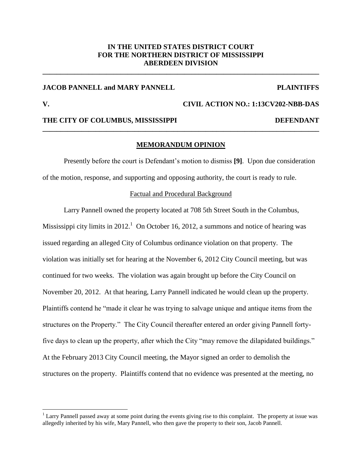# **IN THE UNITED STATES DISTRICT COURT FOR THE NORTHERN DISTRICT OF MISSISSIPPI ABERDEEN DIVISION**

**\_\_\_\_\_\_\_\_\_\_\_\_\_\_\_\_\_\_\_\_\_\_\_\_\_\_\_\_\_\_\_\_\_\_\_\_\_\_\_\_\_\_\_\_\_\_\_\_\_\_\_\_\_\_\_\_\_\_\_\_\_\_\_\_\_\_\_\_\_\_\_\_\_\_\_\_\_\_**

# **JACOB PANNELL and MARY PANNELL PLAINTIFFS**

 $\overline{a}$ 

# **V. CIVIL ACTION NO.: 1:13CV202-NBB-DAS**

## **THE CITY OF COLUMBUS, MISSISSIPPI DEFENDANT**

### **MEMORANDUM OPINION**

**\_\_\_\_\_\_\_\_\_\_\_\_\_\_\_\_\_\_\_\_\_\_\_\_\_\_\_\_\_\_\_\_\_\_\_\_\_\_\_\_\_\_\_\_\_\_\_\_\_\_\_\_\_\_\_\_\_\_\_\_\_\_\_\_\_\_\_\_\_\_\_\_\_\_\_\_\_\_**

Presently before the court is Defendant's motion to dismiss **[9]**. Upon due consideration of the motion, response, and supporting and opposing authority, the court is ready to rule.

#### Factual and Procedural Background

Larry Pannell owned the property located at 708 5th Street South in the Columbus, Mississippi city limits in 2012.<sup>1</sup> On October 16, 2012, a summons and notice of hearing was issued regarding an alleged City of Columbus ordinance violation on that property. The violation was initially set for hearing at the November 6, 2012 City Council meeting, but was continued for two weeks. The violation was again brought up before the City Council on November 20, 2012. At that hearing, Larry Pannell indicated he would clean up the property. Plaintiffs contend he "made it clear he was trying to salvage unique and antique items from the structures on the Property." The City Council thereafter entered an order giving Pannell fortyfive days to clean up the property, after which the City "may remove the dilapidated buildings." At the February 2013 City Council meeting, the Mayor signed an order to demolish the structures on the property. Plaintiffs contend that no evidence was presented at the meeting, no

 $<sup>1</sup>$  Larry Pannell passed away at some point during the events giving rise to this complaint. The property at issue was</sup> allegedly inherited by his wife, Mary Pannell, who then gave the property to their son, Jacob Pannell.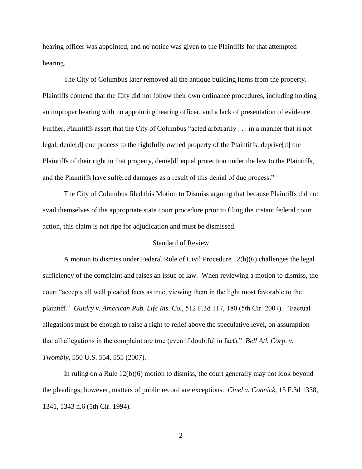hearing officer was appointed, and no notice was given to the Plaintiffs for that attempted hearing.

The City of Columbus later removed all the antique building items from the property. Plaintiffs contend that the City did not follow their own ordinance procedures, including holding an improper hearing with no appointing hearing officer, and a lack of presentation of evidence. Further, Plaintiffs assert that the City of Columbus "acted arbitrarily . . . in a manner that is not legal, denie[d] due process to the rightfully owned property of the Plaintiffs, deprive[d] the Plaintiffs of their right in that property, denie[d] equal protection under the law to the Plaintiffs, and the Plaintiffs have suffered damages as a result of this denial of due process."

The City of Columbus filed this Motion to Dismiss arguing that because Plaintiffs did not avail themselves of the appropriate state court procedure prior to filing the instant federal court action, this claim is not ripe for adjudication and must be dismissed.

### Standard of Review

A motion to dismiss under Federal Rule of Civil Procedure 12(b)(6) challenges the legal sufficiency of the complaint and raises an issue of law. When reviewing a motion to dismiss, the court "accepts all well pleaded facts as true, viewing them in the light most favorable to the plaintiff." *Guidry v. American Pub. Life Ins. Co.*, 512 F.3d 117, 180 (5th Cir. 2007). "Factual allegations must be enough to raise a right to relief above the speculative level, on assumption that all allegations in the complaint are true (even if doubtful in fact)." *Bell Atl. Corp. v. Twombly*, 550 U.S. 554, 555 (2007).

 In ruling on a Rule 12(b)(6) motion to dismiss, the court generally may not look beyond the pleadings; however, matters of public record are exceptions. *Cinel v. Connick*, 15 F.3d 1338, 1341, 1343 n.6 (5th Cir. 1994).

2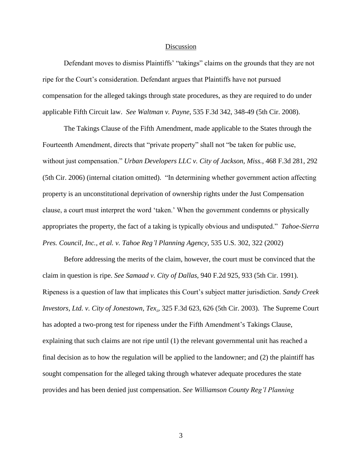#### Discussion

Defendant moves to dismiss Plaintiffs' "takings" claims on the grounds that they are not ripe for the Court's consideration. Defendant argues that Plaintiffs have not pursued compensation for the alleged takings through state procedures, as they are required to do under applicable Fifth Circuit law. *See Waltman v. Payne*, 535 F.3d 342, 348-49 (5th Cir. 2008).

The Takings Clause of the Fifth Amendment, made applicable to the States through the Fourteenth Amendment, directs that "private property" shall not "be taken for public use, without just compensation." *Urban Developers LLC v. City of Jackson, Miss.*, 468 F.3d 281, 292 (5th Cir. 2006) (internal citation omitted). "In determining whether government action affecting property is an unconstitutional deprivation of ownership rights under the Just Compensation clause, a court must interpret the word 'taken.' When the government condemns or physically appropriates the property, the fact of a taking is typically obvious and undisputed." *Tahoe-Sierra Pres. Council, Inc., et al. v. Tahoe Reg'l Planning Agency*, 535 U.S. 302, 322 (2002)

Before addressing the merits of the claim, however, the court must be convinced that the claim in question is ripe. *See Samaad v. City of Dallas*, 940 F.2d 925, 933 (5th Cir. 1991). Ripeness is a question of law that implicates this Court's subject matter jurisdiction. *Sandy Creek Investors, Ltd. v. City of Jonestown, Tex*., 325 F.3d 623, 626 (5th Cir. 2003). The Supreme Court has adopted a two-prong test for ripeness under the Fifth Amendment's Takings Clause, explaining that such claims are not ripe until (1) the relevant governmental unit has reached a final decision as to how the regulation will be applied to the landowner; and (2) the plaintiff has sought compensation for the alleged taking through whatever adequate procedures the state provides and has been denied just compensation. *See Williamson County Reg'l Planning* 

3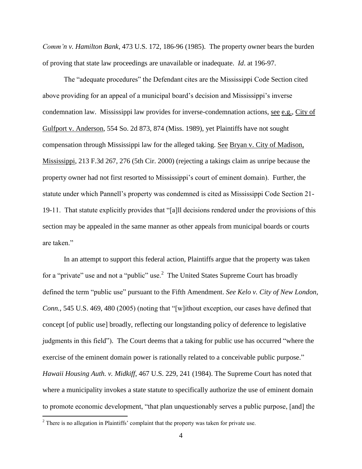*Comm'n v. Hamilton Bank*, 473 U.S. 172, 186-96 (1985). The property owner bears the burden of proving that state law proceedings are unavailable or inadequate. *Id*. at 196-97.

The "adequate procedures" the Defendant cites are the Mississippi Code Section cited above providing for an appeal of a municipal board's decision and Mississippi's inverse condemnation law. Mississippi law provides for inverse-condemnation actions, see e.g., City of Gulfport v. Anderson, 554 So. 2d 873, 874 (Miss. 1989), yet Plaintiffs have not sought compensation through Mississippi law for the alleged taking. See Bryan v. City of Madison, Mississippi, 213 F.3d 267, 276 (5th Cir. 2000) (rejecting a takings claim as unripe because the property owner had not first resorted to Mississippi's court of eminent domain). Further, the statute under which Pannell's property was condemned is cited as Mississippi Code Section 21- 19-11. That statute explicitly provides that "[a]ll decisions rendered under the provisions of this section may be appealed in the same manner as other appeals from municipal boards or courts are taken."

In an attempt to support this federal action, Plaintiffs argue that the property was taken for a "private" use and not a "public" use.<sup>2</sup> The United States Supreme Court has broadly defined the term "public use" pursuant to the Fifth Amendment. *See Kelo v. City of New London, Conn.*, 545 U.S. 469, 480 (2005) (noting that "[w]ithout exception, our cases have defined that concept [of public use] broadly, reflecting our longstanding policy of deference to legislative judgments in this field"). The Court deems that a taking for public use has occurred "where the exercise of the eminent domain power is rationally related to a conceivable public purpose." *Hawaii Housing Auth. v. Midkiff*, 467 U.S. 229, 241 (1984). The Supreme Court has noted that where a municipality invokes a state statute to specifically authorize the use of eminent domain to promote economic development, "that plan unquestionably serves a public purpose, [and] the

 $\overline{a}$ 

 $2<sup>2</sup>$  There is no allegation in Plaintiffs' complaint that the property was taken for private use.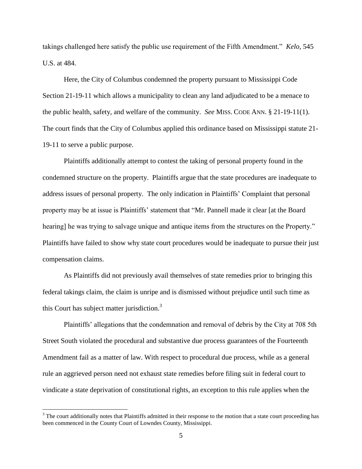takings challenged here satisfy the public use requirement of the Fifth Amendment." *Kelo*, 545 U.S. at 484.

Here, the City of Columbus condemned the property pursuant to Mississippi Code Section 21-19-11 which allows a municipality to clean any land adjudicated to be a menace to the public health, safety, and welfare of the community. *See* MISS. CODE ANN. § 21-19-11(1). The court finds that the City of Columbus applied this ordinance based on Mississippi statute 21- 19-11 to serve a public purpose.

Plaintiffs additionally attempt to contest the taking of personal property found in the condemned structure on the property. Plaintiffs argue that the state procedures are inadequate to address issues of personal property. The only indication in Plaintiffs' Complaint that personal property may be at issue is Plaintiffs' statement that "Mr. Pannell made it clear [at the Board hearing] he was trying to salvage unique and antique items from the structures on the Property." Plaintiffs have failed to show why state court procedures would be inadequate to pursue their just compensation claims.

As Plaintiffs did not previously avail themselves of state remedies prior to bringing this federal takings claim, the claim is unripe and is dismissed without prejudice until such time as this Court has subject matter jurisdiction.<sup>3</sup>

Plaintiffs' allegations that the condemnation and removal of debris by the City at 708 5th Street South violated the procedural and substantive due process guarantees of the Fourteenth Amendment fail as a matter of law. With respect to procedural due process, while as a general rule an aggrieved person need not exhaust state remedies before filing suit in federal court to vindicate a state deprivation of constitutional rights, an exception to this rule applies when the

 $\overline{a}$ 

<sup>&</sup>lt;sup>3</sup> The court additionally notes that Plaintiffs admitted in their response to the motion that a state court proceeding has been commenced in the County Court of Lowndes County, Mississippi.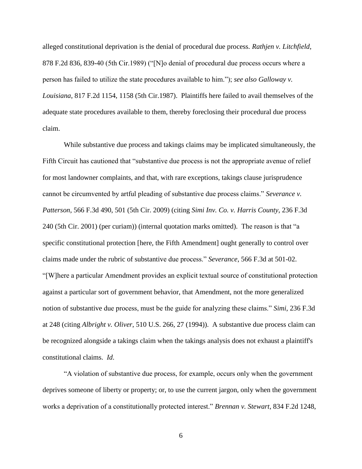alleged constitutional deprivation is the denial of procedural due process. *Rathjen v. Litchfield*, 878 F.2d 836, 839-40 (5th Cir.1989) ("[N]o denial of procedural due process occurs where a person has failed to utilize the state procedures available to him."); *see also Galloway v. Louisiana*, 817 F.2d 1154, 1158 (5th Cir.1987). Plaintiffs here failed to avail themselves of the adequate state procedures available to them, thereby foreclosing their procedural due process claim.

While substantive due process and takings claims may be implicated simultaneously, the Fifth Circuit has cautioned that "substantive due process is not the appropriate avenue of relief for most landowner complaints, and that, with rare exceptions, takings clause jurisprudence cannot be circumvented by artful pleading of substantive due process claims." *Severance v. Patterson*, 566 F.3d 490, 501 (5th Cir. 2009) (citing *Simi Inv. Co. v. Harris County*, 236 F.3d 240 (5th Cir. 2001) (per curiam)) (internal quotation marks omitted). The reason is that "a specific constitutional protection [here, the Fifth Amendment] ought generally to control over claims made under the rubric of substantive due process." *Severance*, 566 F.3d at 501-02. "[W]here a particular Amendment provides an explicit textual source of constitutional protection against a particular sort of government behavior, that Amendment, not the more generalized notion of substantive due process, must be the guide for analyzing these claims." *Simi*, 236 F.3d at 248 (citing *Albright v. Oliver*, 510 U.S. 266, 27 (1994)). A substantive due process claim can be recognized alongside a takings claim when the takings analysis does not exhaust a plaintiff's constitutional claims. *Id*.

"A violation of substantive due process, for example, occurs only when the government deprives someone of liberty or property; or, to use the current jargon, only when the government works a deprivation of a constitutionally protected interest." *Brennan v. Stewart*, 834 F.2d 1248,

6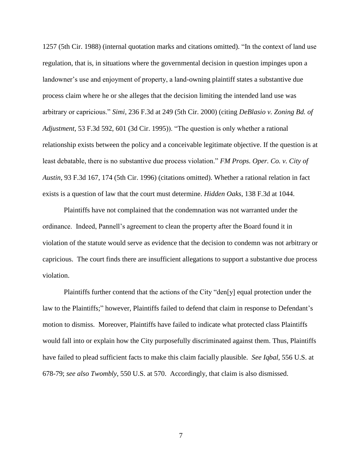1257 (5th Cir. 1988) (internal quotation marks and citations omitted). "In the context of land use regulation, that is, in situations where the governmental decision in question impinges upon a landowner's use and enjoyment of property, a land-owning plaintiff states a substantive due process claim where he or she alleges that the decision limiting the intended land use was arbitrary or capricious." *Simi*, 236 F.3d at 249 (5th Cir. 2000) (citing *DeBlasio v. Zoning Bd. of Adjustment*, 53 F.3d 592, 601 (3d Cir. 1995)). "The question is only whether a rational relationship exists between the policy and a conceivable legitimate objective. If the question is at least debatable, there is no substantive due process violation." *FM Props. Oper. Co. v. City of Austin*, 93 F.3d 167, 174 (5th Cir. 1996) (citations omitted). Whether a rational relation in fact exists is a question of law that the court must determine. *Hidden Oaks*, 138 F.3d at 1044.

Plaintiffs have not complained that the condemnation was not warranted under the ordinance. Indeed, Pannell's agreement to clean the property after the Board found it in violation of the statute would serve as evidence that the decision to condemn was not arbitrary or capricious. The court finds there are insufficient allegations to support a substantive due process violation.

Plaintiffs further contend that the actions of the City "den[y] equal protection under the law to the Plaintiffs;" however, Plaintiffs failed to defend that claim in response to Defendant's motion to dismiss. Moreover, Plaintiffs have failed to indicate what protected class Plaintiffs would fall into or explain how the City purposefully discriminated against them. Thus, Plaintiffs have failed to plead sufficient facts to make this claim facially plausible. *See Iqbal*, 556 U.S. at 678-79; *see also Twombly*, 550 U.S. at 570. Accordingly, that claim is also dismissed.